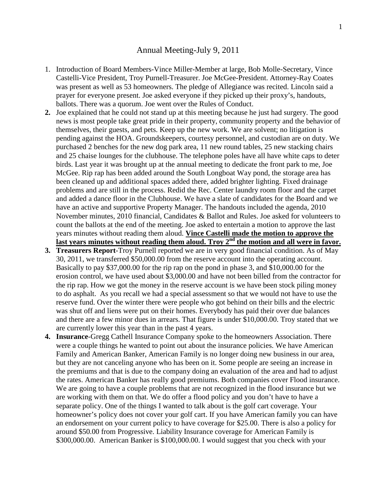## Annual Meeting-July 9, 2011

- 1. Introduction of Board Members-Vince Miller-Member at large, Bob Molle-Secretary, Vince Castelli-Vice President, Troy Purnell-Treasurer. Joe McGee-President. Attorney-Ray Coates was present as well as 53 homeowners. The pledge of Allegiance was recited. Lincoln said a prayer for everyone present. Joe asked everyone if they picked up their proxy's, handouts, ballots. There was a quorum. Joe went over the Rules of Conduct.
- **2.** Joe explained that he could not stand up at this meeting because he just had surgery. The good news is most people take great pride in their property, community property and the behavior of themselves, their guests, and pets. Keep up the new work. We are solvent; no litigation is pending against the HOA. Groundskeepers, courtesy personnel, and custodian are on duty. We purchased 2 benches for the new dog park area, 11 new round tables, 25 new stacking chairs and 25 chaise lounges for the clubhouse. The telephone poles have all have white caps to deter birds. Last year it was brought up at the annual meeting to dedicate the front park to me, Joe McGee. Rip rap has been added around the South Longboat Way pond, the storage area has been cleaned up and additional spaces added there, added brighter lighting. Fixed drainage problems and are still in the process. Redid the Rec. Center laundry room floor and the carpet and added a dance floor in the Clubhouse. We have a slate of candidates for the Board and we have an active and supportive Property Manager. The handouts included the agenda, 2010 November minutes, 2010 financial, Candidates & Ballot and Rules. Joe asked for volunteers to count the ballots at the end of the meeting. Joe asked to entertain a motion to approve the last years minutes without reading them aloud. **Vince Castelli made the motion to approve the** last years minutes without reading them aloud. Troy 2<sup>nd</sup> the motion and all were in favor.
- **3. Treasurers Report**-Troy Purnell reported we are in very good financial condition. As of May 30, 2011, we transferred \$50,000.00 from the reserve account into the operating account. Basically to pay \$37,000.00 for the rip rap on the pond in phase 3, and \$10,000.00 for the erosion control, we have used about \$3,000.00 and have not been billed from the contractor for the rip rap. How we got the money in the reserve account is we have been stock piling money to do asphalt. As you recall we had a special assessment so that we would not have to use the reserve fund. Over the winter there were people who got behind on their bills and the electric was shut off and liens were put on their homes. Everybody has paid their over due balances and there are a few minor dues in arrears. That figure is under \$10,000.00. Troy stated that we are currently lower this year than in the past 4 years.
- **4. Insurance**-Gregg Cathell Insurance Company spoke to the homeowners Association. There were a couple things he wanted to point out about the insurance policies. We have American Family and American Banker, American Family is no longer doing new business in our area, but they are not canceling anyone who has been on it. Some people are seeing an increase in the premiums and that is due to the company doing an evaluation of the area and had to adjust the rates. American Banker has really good premiums. Both companies cover Flood insurance. We are going to have a couple problems that are not recognized in the flood insurance but we are working with them on that. We do offer a flood policy and you don't have to have a separate policy. One of the things I wanted to talk about is the golf cart coverage. Your homeowner's policy does not cover your golf cart. If you have American family you can have an endorsement on your current policy to have coverage for \$25.00. There is also a policy for around \$50.00 from Progressive. Liability Insurance coverage for American Family is \$300,000.00. American Banker is \$100,000.00. I would suggest that you check with your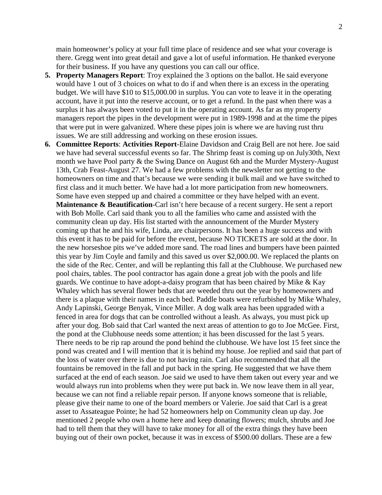main homeowner's policy at your full time place of residence and see what your coverage is there. Gregg went into great detail and gave a lot of useful information. He thanked everyone for their business. If you have any questions you can call our office.

- **5. Property Managers Report**: Troy explained the 3 options on the ballot. He said everyone would have 1 out of 3 choices on what to do if and when there is an excess in the operating budget. We will have \$10 to \$15,000.00 in surplus. You can vote to leave it in the operating account, have it put into the reserve account, or to get a refund. In the past when there was a surplus it has always been voted to put it in the operating account. As far as my property managers report the pipes in the development were put in 1989-1998 and at the time the pipes that were put in were galvanized. Where these pipes join is where we are having rust thru issues. We are still addressing and working on these erosion issues.
- **6. Committee Reports**: **Activities Report**-Elaine Davidson and Craig Bell are not here. Joe said we have had several successful events so far. The Shrimp feast is coming up on July30th, Next month we have Pool party & the Swing Dance on August 6th and the Murder Mystery-August 13th, Crab Feast-August 27. We had a few problems with the newsletter not getting to the homeowners on time and that's because we were sending it bulk mail and we have switched to first class and it much better. We have had a lot more participation from new homeowners. Some have even stepped up and chaired a committee or they have helped with an event. **Maintenance & Beautification-Carl isn't here because of a recent surgery. He sent a report** with Bob Molle. Carl said thank you to all the families who came and assisted with the community clean up day. His list started with the announcement of the Murder Mystery coming up that he and his wife, Linda, are chairpersons. It has been a huge success and with this event it has to be paid for before the event, because NO TICKETS are sold at the door. In the new horseshoe pits we've added more sand. The road lines and bumpers have been painted this year by Jim Coyle and family and this saved us over \$2,000.00. We replaced the plants on the side of the Rec. Center, and will be replanting this fall at the Clubhouse. We purchased new pool chairs, tables. The pool contractor has again done a great job with the pools and life guards. We continue to have adopt-a-daisy program that has been chaired by Mike & Kay Whaley which has several flower beds that are weeded thru out the year by homeowners and there is a plaque with their names in each bed. Paddle boats were refurbished by Mike Whaley, Andy Lapinski, George Benyak, Vince Miller. A dog walk area has been upgraded with a fenced in area for dogs that can be controlled without a leash. As always, you must pick up after your dog. Bob said that Carl wanted the next areas of attention to go to Joe McGee. First, the pond at the Clubhouse needs some attention; it has been discussed for the last 5 years. There needs to be rip rap around the pond behind the clubhouse. We have lost 15 feet since the pond was created and I will mention that it is behind my house. Joe replied and said that part of the loss of water over there is due to not having rain. Carl also recommended that all the fountains be removed in the fall and put back in the spring. He suggested that we have them surfaced at the end of each season. Joe said we used to have them taken out every year and we would always run into problems when they were put back in. We now leave them in all year, because we can not find a reliable repair person. If anyone knows someone that is reliable, please give their name to one of the board members or Valerie. Joe said that Carl is a great asset to Assateague Pointe; he had 52 homeowners help on Community clean up day. Joe mentioned 2 people who own a home here and keep donating flowers; mulch, shrubs and Joe had to tell them that they will have to take money for all of the extra things they have been buying out of their own pocket, because it was in excess of \$500.00 dollars. These are a few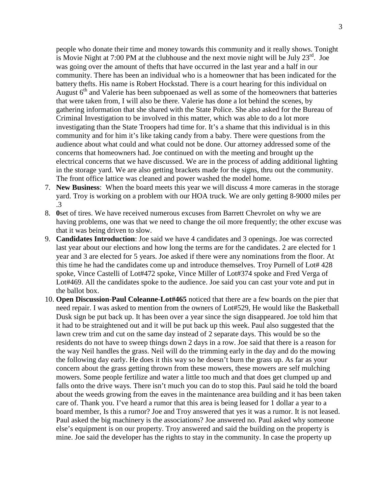people who donate their time and money towards this community and it really shows. Tonight is Movie Night at 7:00 PM at the clubhouse and the next movie night will be July  $23^{\text{rd}}$ . Joe was going over the amount of thefts that have occurred in the last year and a half in our community. There has been an individual who is a homeowner that has been indicated for the battery thefts. His name is Robert Hockstad. There is a court hearing for this individual on August 6<sup>th</sup> and Valerie has been subpoenaed as well as some of the homeowners that batteries that were taken from, I will also be there. Valerie has done a lot behind the scenes, by gathering information that she shared with the State Police. She also asked for the Bureau of Criminal Investigation to be involved in this matter, which was able to do a lot more investigating than the State Troopers had time for. It's a shame that this individual is in this community and for him it's like taking candy from a baby. There were questions from the audience about what could and what could not be done. Our attorney addressed some of the concerns that homeowners had. Joe continued on with the meeting and brought up the electrical concerns that we have discussed. We are in the process of adding additional lighting in the storage yard. We are also getting brackets made for the signs, thru out the community. The front office lattice was cleaned and power washed the model home.

- 7. **New Business**: When the board meets this year we will discuss 4 more cameras in the storage yard. Troy is working on a problem with our HOA truck. We are only getting 8-9000 miles per .3
- 8. **0**set of tires. We have received numerous excuses from Barrett Chevrolet on why we are having problems, one was that we need to change the oil more frequently; the other excuse was that it was being driven to slow.
- 9. **Candidates Introduction**: Joe said we have 4 candidates and 3 openings. Joe was corrected last year about our elections and how long the terms are for the candidates. 2 are elected for 1 year and 3 are elected for 5 years. Joe asked if there were any nominations from the floor. At this time he had the candidates come up and introduce themselves. Troy Purnell of Lot# 428 spoke, Vince Castelli of Lot#472 spoke, Vince Miller of Lot#374 spoke and Fred Verga of Lot#469. All the candidates spoke to the audience. Joe said you can cast your vote and put in the ballot box.
- 10. **Open Discussion**-**Paul Coleanne-Lot#465** noticed that there are a few boards on the pier that need repair. I was asked to mention from the owners of Lot#529, He would like the Basketball Dusk sign be put back up. It has been over a year since the sign disappeared. Joe told him that it had to be straightened out and it will be put back up this week. Paul also suggested that the lawn crew trim and cut on the same day instead of 2 separate days. This would be so the residents do not have to sweep things down 2 days in a row. Joe said that there is a reason for the way Neil handles the grass. Neil will do the trimming early in the day and do the mowing the following day early. He does it this way so he doesn't burn the grass up. As far as your concern about the grass getting thrown from these mowers, these mowers are self mulching mowers. Some people fertilize and water a little too much and that does get clumped up and falls onto the drive ways. There isn't much you can do to stop this. Paul said he told the board about the weeds growing from the eaves in the maintenance area building and it has been taken care of. Thank you. I've heard a rumor that this area is being leased for 1 dollar a year to a board member, Is this a rumor? Joe and Troy answered that yes it was a rumor. It is not leased. Paul asked the big machinery is the associations? Joe answered no. Paul asked why someone else's equipment is on our property. Troy answered and said the building on the property is mine. Joe said the developer has the rights to stay in the community. In case the property up